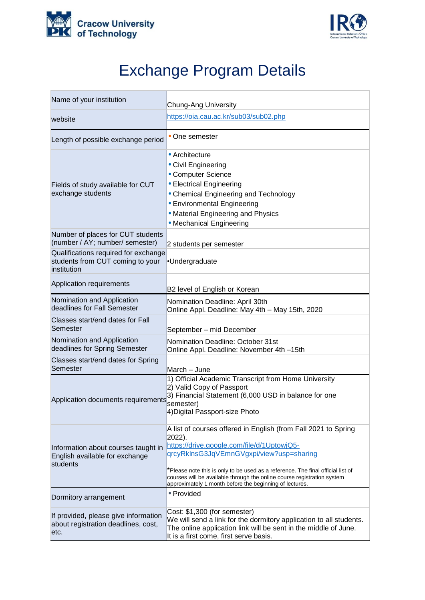



## Exchange Program Details

| Name of your institution                                                                | Chung-Ang University                                                                                                                                                                                                                                                                                                                                                                        |
|-----------------------------------------------------------------------------------------|---------------------------------------------------------------------------------------------------------------------------------------------------------------------------------------------------------------------------------------------------------------------------------------------------------------------------------------------------------------------------------------------|
| website                                                                                 | https://oia.cau.ac.kr/sub03/sub02.php                                                                                                                                                                                                                                                                                                                                                       |
| Length of possible exchange period                                                      | • One semester                                                                                                                                                                                                                                                                                                                                                                              |
| Fields of study available for CUT<br>exchange students                                  | • Architecture<br>• Civil Engineering<br>• Computer Science<br>• Electrical Engineering<br>• Chemical Engineering and Technology<br>• Environmental Engineering<br>• Material Engineering and Physics<br>• Mechanical Engineering                                                                                                                                                           |
| Number of places for CUT students<br>(number / AY; number/ semester)                    | 2 students per semester                                                                                                                                                                                                                                                                                                                                                                     |
| Qualifications required for exchange<br>students from CUT coming to your<br>institution | ·Undergraduate                                                                                                                                                                                                                                                                                                                                                                              |
| Application requirements                                                                | B2 level of English or Korean                                                                                                                                                                                                                                                                                                                                                               |
| Nomination and Application<br>deadlines for Fall Semester                               | Nomination Deadline: April 30th<br>Online Appl. Deadline: May 4th - May 15th, 2020                                                                                                                                                                                                                                                                                                          |
| Classes start/end dates for Fall<br>Semester                                            | September - mid December                                                                                                                                                                                                                                                                                                                                                                    |
| Nomination and Application<br>deadlines for Spring Semester                             | Nomination Deadline: October 31st<br>Online Appl. Deadline: November 4th-15th                                                                                                                                                                                                                                                                                                               |
| Classes start/end dates for Spring<br>Semester                                          | March - June                                                                                                                                                                                                                                                                                                                                                                                |
| Application documents requirements                                                      | 1) Official Academic Transcript from Home University<br>2) Valid Copy of Passport<br>3) Financial Statement (6,000 USD in balance for one<br>semester)<br>4) Digital Passport-size Photo                                                                                                                                                                                                    |
| Information about courses taught in<br>English available for exchange<br>students       | A list of courses offered in English (from Fall 2021 to Spring<br>2022).<br>https://drive.google.com/file/d/1UptowjQ5-<br>grcyRkInsG3JqVEmnGVgxpi/view?usp=sharing<br>*Please note this is only to be used as a reference. The final official list of<br>courses will be available through the online course registration system<br>approximately 1 month before the beginning of lectures. |
| Dormitory arrangement                                                                   | • Provided                                                                                                                                                                                                                                                                                                                                                                                  |
| If provided, please give information<br>about registration deadlines, cost,<br>etc.     | Cost: \$1,300 (for semester)<br>We will send a link for the dormitory application to all students.<br>The online application link will be sent in the middle of June.<br>It is a first come, first serve basis.                                                                                                                                                                             |